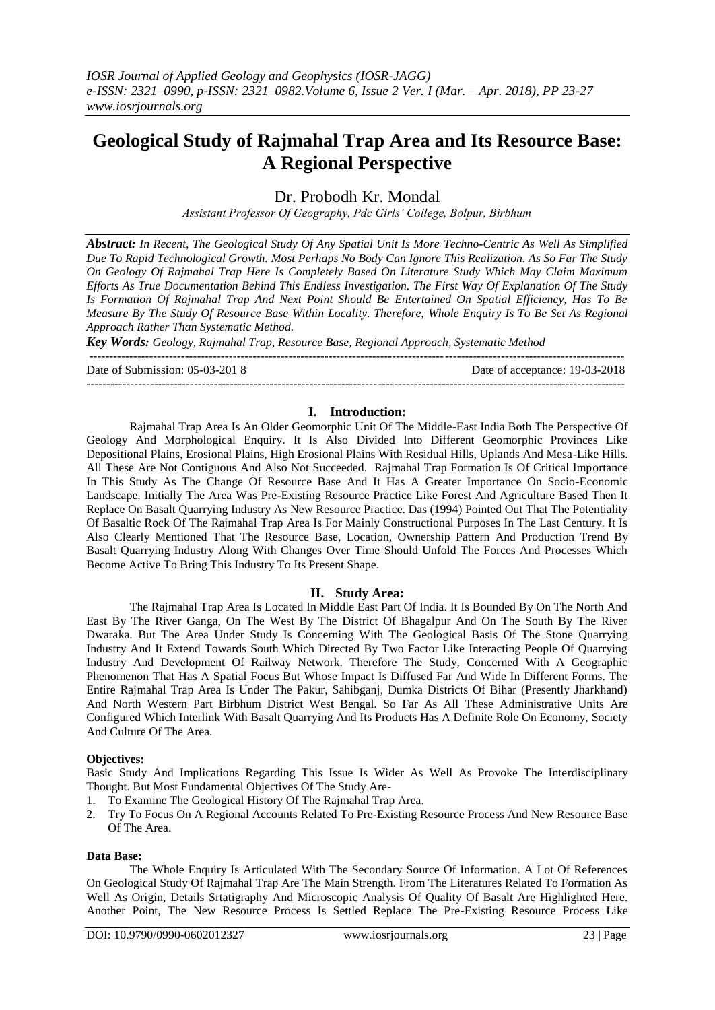# **Geological Study of Rajmahal Trap Area and Its Resource Base: A Regional Perspective**

Dr. Probodh Kr. Mondal

*Assistant Professor Of Geography, Pdc Girls' College, Bolpur, Birbhum*

*Abstract: In Recent, The Geological Study Of Any Spatial Unit Is More Techno-Centric As Well As Simplified Due To Rapid Technological Growth. Most Perhaps No Body Can Ignore This Realization. As So Far The Study On Geology Of Rajmahal Trap Here Is Completely Based On Literature Study Which May Claim Maximum Efforts As True Documentation Behind This Endless Investigation. The First Way Of Explanation Of The Study Is Formation Of Rajmahal Trap And Next Point Should Be Entertained On Spatial Efficiency, Has To Be Measure By The Study Of Resource Base Within Locality. Therefore, Whole Enquiry Is To Be Set As Regional Approach Rather Than Systematic Method.*

*Key Words: Geology, Rajmahal Trap, Resource Base, Regional Approach, Systematic Method*

Date of Submission: 05-03-2018 Date of acceptance: 19-03-2018

#### ---------------------------------------------------------------------------------------------------------------------------------------

# **I. Introduction:**

--------------------------------------------------------------------------------------------------------------------------------------

Rajmahal Trap Area Is An Older Geomorphic Unit Of The Middle-East India Both The Perspective Of Geology And Morphological Enquiry. It Is Also Divided Into Different Geomorphic Provinces Like Depositional Plains, Erosional Plains, High Erosional Plains With Residual Hills, Uplands And Mesa-Like Hills. All These Are Not Contiguous And Also Not Succeeded. Rajmahal Trap Formation Is Of Critical Importance In This Study As The Change Of Resource Base And It Has A Greater Importance On Socio-Economic Landscape. Initially The Area Was Pre-Existing Resource Practice Like Forest And Agriculture Based Then It Replace On Basalt Quarrying Industry As New Resource Practice. Das (1994) Pointed Out That The Potentiality Of Basaltic Rock Of The Rajmahal Trap Area Is For Mainly Constructional Purposes In The Last Century. It Is Also Clearly Mentioned That The Resource Base, Location, Ownership Pattern And Production Trend By Basalt Quarrying Industry Along With Changes Over Time Should Unfold The Forces And Processes Which Become Active To Bring This Industry To Its Present Shape.

## **II. Study Area:**

The Rajmahal Trap Area Is Located In Middle East Part Of India. It Is Bounded By On The North And East By The River Ganga, On The West By The District Of Bhagalpur And On The South By The River Dwaraka. But The Area Under Study Is Concerning With The Geological Basis Of The Stone Quarrying Industry And It Extend Towards South Which Directed By Two Factor Like Interacting People Of Quarrying Industry And Development Of Railway Network. Therefore The Study, Concerned With A Geographic Phenomenon That Has A Spatial Focus But Whose Impact Is Diffused Far And Wide In Different Forms. The Entire Rajmahal Trap Area Is Under The Pakur, Sahibganj, Dumka Districts Of Bihar (Presently Jharkhand) And North Western Part Birbhum District West Bengal. So Far As All These Administrative Units Are Configured Which Interlink With Basalt Quarrying And Its Products Has A Definite Role On Economy, Society And Culture Of The Area.

## **Objectives:**

Basic Study And Implications Regarding This Issue Is Wider As Well As Provoke The Interdisciplinary Thought. But Most Fundamental Objectives Of The Study Are-

- 1. To Examine The Geological History Of The Rajmahal Trap Area.
- 2. Try To Focus On A Regional Accounts Related To Pre-Existing Resource Process And New Resource Base Of The Area.

#### **Data Base:**

The Whole Enquiry Is Articulated With The Secondary Source Of Information. A Lot Of References On Geological Study Of Rajmahal Trap Are The Main Strength. From The Literatures Related To Formation As Well As Origin, Details Srtatigraphy And Microscopic Analysis Of Quality Of Basalt Are Highlighted Here. Another Point, The New Resource Process Is Settled Replace The Pre-Existing Resource Process Like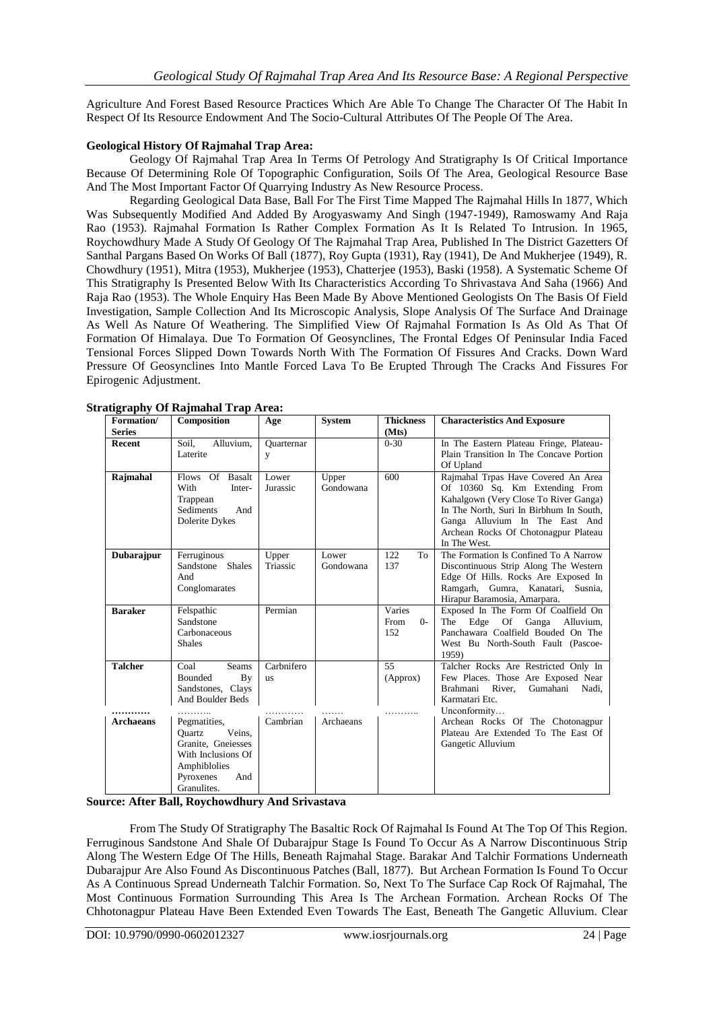Agriculture And Forest Based Resource Practices Which Are Able To Change The Character Of The Habit In Respect Of Its Resource Endowment And The Socio-Cultural Attributes Of The People Of The Area.

# **Geological History Of Rajmahal Trap Area:**

Geology Of Rajmahal Trap Area In Terms Of Petrology And Stratigraphy Is Of Critical Importance Because Of Determining Role Of Topographic Configuration, Soils Of The Area, Geological Resource Base And The Most Important Factor Of Quarrying Industry As New Resource Process.

Regarding Geological Data Base, Ball For The First Time Mapped The Rajmahal Hills In 1877, Which Was Subsequently Modified And Added By Arogyaswamy And Singh (1947-1949), Ramoswamy And Raja Rao (1953). Rajmahal Formation Is Rather Complex Formation As It Is Related To Intrusion. In 1965, Roychowdhury Made A Study Of Geology Of The Rajmahal Trap Area, Published In The District Gazetters Of Santhal Pargans Based On Works Of Ball (1877), Roy Gupta (1931), Ray (1941), De And Mukherjee (1949), R. Chowdhury (1951), Mitra (1953), Mukherjee (1953), Chatterjee (1953), Baski (1958). A Systematic Scheme Of This Stratigraphy Is Presented Below With Its Characteristics According To Shrivastava And Saha (1966) And Raja Rao (1953). The Whole Enquiry Has Been Made By Above Mentioned Geologists On The Basis Of Field Investigation, Sample Collection And Its Microscopic Analysis, Slope Analysis Of The Surface And Drainage As Well As Nature Of Weathering. The Simplified View Of Rajmahal Formation Is As Old As That Of Formation Of Himalaya. Due To Formation Of Geosynclines, The Frontal Edges Of Peninsular India Faced Tensional Forces Slipped Down Towards North With The Formation Of Fissures And Cracks. Down Ward Pressure Of Geosynclines Into Mantle Forced Lava To Be Erupted Through The Cracks And Fissures For Epirogenic Adjustment.

| Formation/       | Composition             | Age        | <b>System</b> | <b>Thickness</b> | <b>Characteristics And Exposure</b>                                 |
|------------------|-------------------------|------------|---------------|------------------|---------------------------------------------------------------------|
| <b>Series</b>    |                         |            |               | (Mts)            |                                                                     |
| Recent           | Alluvium,<br>Soil.      | Quarternar |               | $0 - 30$         | In The Eastern Plateau Fringe, Plateau-                             |
|                  | Laterite                | y          |               |                  | Plain Transition In The Concave Portion                             |
|                  |                         |            |               |                  | Of Upland                                                           |
| Rajmahal         | Flows Of Basalt         | Lower      | Upper         | 600              | Rajmahal Trpas Have Covered An Area                                 |
|                  | With<br>Inter-          | Jurassic   | Gondowana     |                  | Of 10360 Sq. Km Extending From                                      |
|                  | Trappean                |            |               |                  | Kahalgown (Very Close To River Ganga)                               |
|                  | Sediments<br>And        |            |               |                  | In The North, Suri In Birbhum In South,                             |
|                  | Dolerite Dykes          |            |               |                  | Ganga Alluvium In The East And                                      |
|                  |                         |            |               |                  | Archean Rocks Of Chotonagpur Plateau                                |
|                  |                         |            |               |                  | In The West.                                                        |
| Dubarajpur       | Ferruginous             | Upper      | Lower         | To<br>122        | The Formation Is Confined To A Narrow                               |
|                  | Sandstone Shales        | Triassic   | Gondowana     | 137              | Discontinuous Strip Along The Western                               |
|                  | And                     |            |               |                  | Edge Of Hills. Rocks Are Exposed In                                 |
|                  | Conglomarates           |            |               |                  | Ramgarh, Gumra, Kanatari, Susnia,                                   |
| <b>Baraker</b>   | Felspathic              | Permian    |               | Varies           | Hirapur Baramosia, Amarpara.<br>Exposed In The Form Of Coalfield On |
|                  | Sandstone               |            |               | $0 -$<br>From    | The Edge Of Ganga Alluvium,                                         |
|                  | Carbonaceous            |            |               | 152              | Panchawara Coalfield Bouded On The                                  |
|                  | <b>Shales</b>           |            |               |                  | West Bu North-South Fault (Pascoe-                                  |
|                  |                         |            |               |                  | 1959)                                                               |
| <b>Talcher</b>   | <b>Seams</b><br>Coal    | Carbnifero |               | 55               | Talcher Rocks Are Restricted Only In                                |
|                  | Bounded<br>By           | <b>us</b>  |               | (Approx)         | Few Places. Those Are Exposed Near                                  |
|                  | Sandstones, Clays       |            |               |                  | Brahmani River,<br>Gumahani<br>Nadi,                                |
|                  | And Boulder Beds        |            |               |                  | Karmatari Etc.                                                      |
|                  |                         |            |               |                  | Unconformity                                                        |
| <b>Archaeans</b> | Pegmatities,            | Cambrian   | Archaeans     |                  | Archean Rocks Of The Chotonagpur                                    |
|                  | Veins.<br><b>Ouartz</b> |            |               |                  | Plateau Are Extended To The East Of                                 |
|                  | Granite, Gneiesses      |            |               |                  | Gangetic Alluvium                                                   |
|                  | With Inclusions Of      |            |               |                  |                                                                     |
|                  | Amphiblolies            |            |               |                  |                                                                     |
|                  | Pyroxenes<br>And        |            |               |                  |                                                                     |
|                  | Granulites.             |            |               |                  |                                                                     |

**Stratigraphy Of Rajmahal Trap Area:**

**Source: After Ball, Roychowdhury And Srivastava**

From The Study Of Stratigraphy The Basaltic Rock Of Rajmahal Is Found At The Top Of This Region. Ferruginous Sandstone And Shale Of Dubarajpur Stage Is Found To Occur As A Narrow Discontinuous Strip Along The Western Edge Of The Hills, Beneath Rajmahal Stage. Barakar And Talchir Formations Underneath Dubarajpur Are Also Found As Discontinuous Patches (Ball, 1877). But Archean Formation Is Found To Occur As A Continuous Spread Underneath Talchir Formation. So, Next To The Surface Cap Rock Of Rajmahal, The Most Continuous Formation Surrounding This Area Is The Archean Formation. Archean Rocks Of The Chhotonagpur Plateau Have Been Extended Even Towards The East, Beneath The Gangetic Alluvium. Clear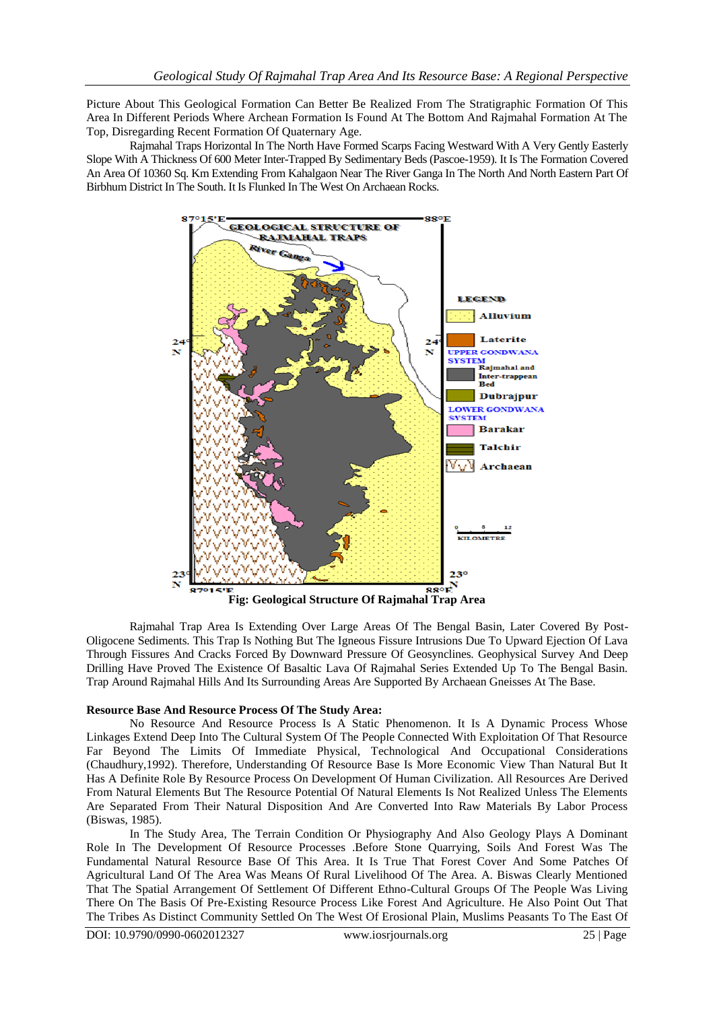Picture About This Geological Formation Can Better Be Realized From The Stratigraphic Formation Of This Area In Different Periods Where Archean Formation Is Found At The Bottom And Rajmahal Formation At The Top, Disregarding Recent Formation Of Quaternary Age.

Rajmahal Traps Horizontal In The North Have Formed Scarps Facing Westward With A Very Gently Easterly Slope With A Thickness Of 600 Meter Inter-Trapped By Sedimentary Beds (Pascoe-1959). It Is The Formation Covered An Area Of 10360 Sq. Km Extending From Kahalgaon Near The River Ganga In The North And North Eastern Part Of Birbhum District In The South. It Is Flunked In The West On Archaean Rocks.



Rajmahal Trap Area Is Extending Over Large Areas Of The Bengal Basin, Later Covered By Post-Oligocene Sediments. This Trap Is Nothing But The Igneous Fissure Intrusions Due To Upward Ejection Of Lava Through Fissures And Cracks Forced By Downward Pressure Of Geosynclines. Geophysical Survey And Deep Drilling Have Proved The Existence Of Basaltic Lava Of Rajmahal Series Extended Up To The Bengal Basin. Trap Around Rajmahal Hills And Its Surrounding Areas Are Supported By Archaean Gneisses At The Base.

## **Resource Base And Resource Process Of The Study Area:**

No Resource And Resource Process Is A Static Phenomenon. It Is A Dynamic Process Whose Linkages Extend Deep Into The Cultural System Of The People Connected With Exploitation Of That Resource Far Beyond The Limits Of Immediate Physical, Technological And Occupational Considerations (Chaudhury,1992). Therefore, Understanding Of Resource Base Is More Economic View Than Natural But It Has A Definite Role By Resource Process On Development Of Human Civilization. All Resources Are Derived From Natural Elements But The Resource Potential Of Natural Elements Is Not Realized Unless The Elements Are Separated From Their Natural Disposition And Are Converted Into Raw Materials By Labor Process (Biswas, 1985).

In The Study Area, The Terrain Condition Or Physiography And Also Geology Plays A Dominant Role In The Development Of Resource Processes .Before Stone Quarrying, Soils And Forest Was The Fundamental Natural Resource Base Of This Area. It Is True That Forest Cover And Some Patches Of Agricultural Land Of The Area Was Means Of Rural Livelihood Of The Area. A. Biswas Clearly Mentioned That The Spatial Arrangement Of Settlement Of Different Ethno-Cultural Groups Of The People Was Living There On The Basis Of Pre-Existing Resource Process Like Forest And Agriculture. He Also Point Out That The Tribes As Distinct Community Settled On The West Of Erosional Plain, Muslims Peasants To The East Of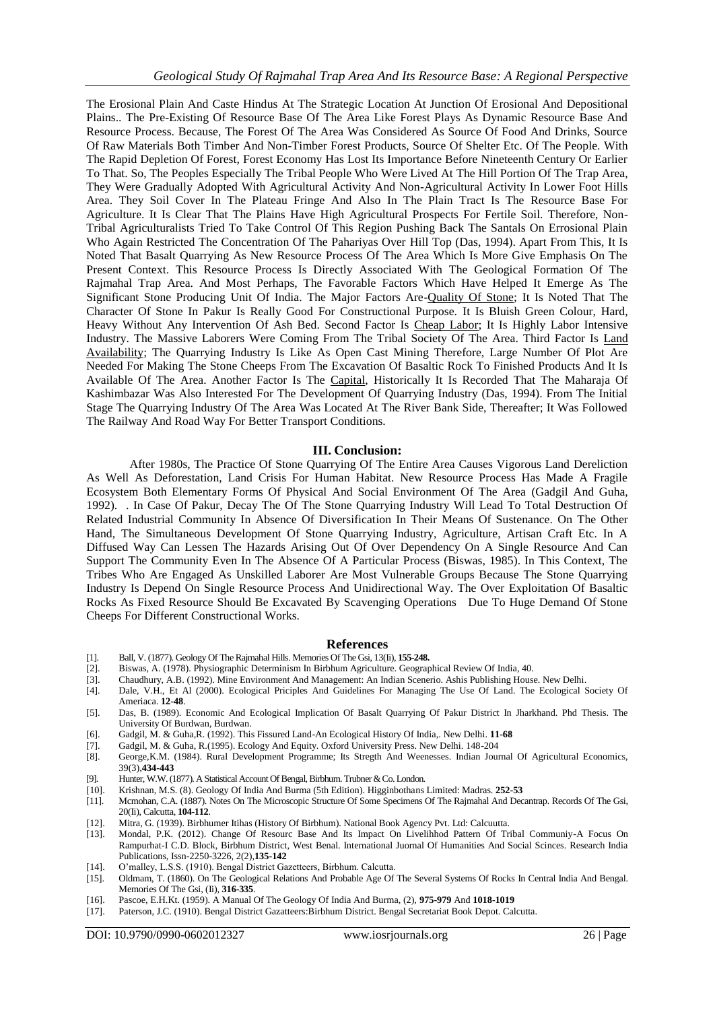The Erosional Plain And Caste Hindus At The Strategic Location At Junction Of Erosional And Depositional Plains.. The Pre-Existing Of Resource Base Of The Area Like Forest Plays As Dynamic Resource Base And Resource Process. Because, The Forest Of The Area Was Considered As Source Of Food And Drinks, Source Of Raw Materials Both Timber And Non-Timber Forest Products, Source Of Shelter Etc. Of The People. With The Rapid Depletion Of Forest, Forest Economy Has Lost Its Importance Before Nineteenth Century Or Earlier To That. So, The Peoples Especially The Tribal People Who Were Lived At The Hill Portion Of The Trap Area, They Were Gradually Adopted With Agricultural Activity And Non-Agricultural Activity In Lower Foot Hills Area. They Soil Cover In The Plateau Fringe And Also In The Plain Tract Is The Resource Base For Agriculture. It Is Clear That The Plains Have High Agricultural Prospects For Fertile Soil. Therefore, Non-Tribal Agriculturalists Tried To Take Control Of This Region Pushing Back The Santals On Errosional Plain Who Again Restricted The Concentration Of The Pahariyas Over Hill Top (Das, 1994). Apart From This, It Is Noted That Basalt Quarrying As New Resource Process Of The Area Which Is More Give Emphasis On The Present Context. This Resource Process Is Directly Associated With The Geological Formation Of The Rajmahal Trap Area. And Most Perhaps, The Favorable Factors Which Have Helped It Emerge As The Significant Stone Producing Unit Of India. The Major Factors Are-Quality Of Stone; It Is Noted That The Character Of Stone In Pakur Is Really Good For Constructional Purpose. It Is Bluish Green Colour, Hard, Heavy Without Any Intervention Of Ash Bed. Second Factor Is Cheap Labor; It Is Highly Labor Intensive Industry. The Massive Laborers Were Coming From The Tribal Society Of The Area. Third Factor Is Land Availability; The Quarrying Industry Is Like As Open Cast Mining Therefore, Large Number Of Plot Are Needed For Making The Stone Cheeps From The Excavation Of Basaltic Rock To Finished Products And It Is Available Of The Area. Another Factor Is The Capital, Historically It Is Recorded That The Maharaja Of Kashimbazar Was Also Interested For The Development Of Quarrying Industry (Das, 1994). From The Initial Stage The Quarrying Industry Of The Area Was Located At The River Bank Side, Thereafter; It Was Followed The Railway And Road Way For Better Transport Conditions.

## **III. Conclusion:**

After 1980s, The Practice Of Stone Quarrying Of The Entire Area Causes Vigorous Land Dereliction As Well As Deforestation, Land Crisis For Human Habitat. New Resource Process Has Made A Fragile Ecosystem Both Elementary Forms Of Physical And Social Environment Of The Area (Gadgil And Guha, 1992). . In Case Of Pakur, Decay The Of The Stone Quarrying Industry Will Lead To Total Destruction Of Related Industrial Community In Absence Of Diversification In Their Means Of Sustenance. On The Other Hand, The Simultaneous Development Of Stone Quarrying Industry, Agriculture, Artisan Craft Etc. In A Diffused Way Can Lessen The Hazards Arising Out Of Over Dependency On A Single Resource And Can Support The Community Even In The Absence Of A Particular Process (Biswas, 1985). In This Context, The Tribes Who Are Engaged As Unskilled Laborer Are Most Vulnerable Groups Because The Stone Quarrying Industry Is Depend On Single Resource Process And Unidirectional Way. The Over Exploitation Of Basaltic Rocks As Fixed Resource Should Be Excavated By Scavenging Operations Due To Huge Demand Of Stone Cheeps For Different Constructional Works.

## **References**

- [1]. Ball, V. (1877). Geology Of The Rajmahal Hills. Memories Of The Gsi, 13(Ii), **155-248.**
- [2]. Biswas, A. (1978). Physiographic Determinism In Birbhum Agriculture. Geographical Review Of India, 40.
- [3]. Chaudhury, A.B. (1992). Mine Environment And Management: An Indian Scenerio. Ashis Publishing House. New Delhi.
- Dale, V.H., Et Al (2000). Ecological Priciples And Guidelines For Managing The Use Of Land. The Ecological Society Of Ameriaca. **12-48**.
- [5]. Das, B. (1989). Economic And Ecological Implication Of Basalt Quarrying Of Pakur District In Jharkhand. Phd Thesis. The University Of Burdwan, Burdwan.
- [6]. Gadgil, M. & Guha,R. (1992). This Fissured Land-An Ecological History Of India,. New Delhi. **11-68**
- [7]. Gadgil, M. & Guha, R.(1995). Ecology And Equity. Oxford University Press. New Delhi. 148-204
- [8]. George,K.M. (1984). Rural Development Programme; Its Stregth And Weenesses. Indian Journal Of Agricultural Economics, 39(3),**434-443**
- [9]. Hunter, W.W. (1877). A Statistical Account Of Bengal, Birbhum. Trubner & Co. London.
- [10]. Krishnan, M.S. (8). Geology Of India And Burma (5th Edition). Higginbothans Limited: Madras. **252-53**
- [11]. Mcmohan, C.A. (1887). Notes On The Microscopic Structure Of Some Specimens Of The Rajmahal And Decantrap. Records Of The Gsi, 20(Ii), Calcutta, **104-112**.
- [12]. Mitra, G. (1939). Birbhumer Itihas (History Of Birbhum). National Book Agency Pvt. Ltd: Calcuutta.
- [13]. Mondal, P.K. (2012). Change Of Resourc Base And Its Impact On Livelihhod Pattern Of Tribal Communiy-A Focus On Rampurhat-I C.D. Block, Birbhum District, West Benal. International Juornal Of Humanities And Social Scinces. Research India Publications, Issn-2250-3226, 2(2),**135-142**
- [14]. O'malley, L.S.S. (1910). Bengal District Gazetteers, Birbhum. Calcutta.
- [15]. Oldmam, T. (1860). On The Geological Relations And Probable Age Of The Several Systems Of Rocks In Central India And Bengal. Memories Of The Gsi, (Ii), **316-335**.
- [16]. Pascoe, E.H.Kt. (1959). A Manual Of The Geology Of India And Burma, (2), **975-979** And **1018-1019**
- [17]. Paterson, J.C. (1910). Bengal District Gazatteers:Birbhum District. Bengal Secretariat Book Depot. Calcutta.